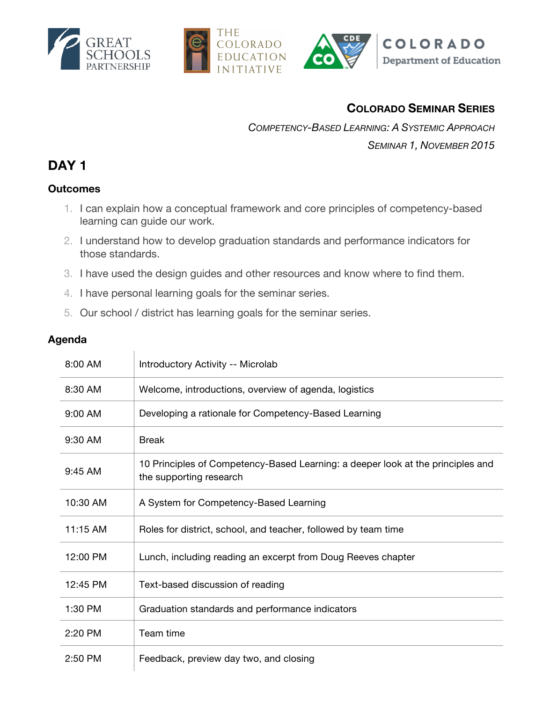





## **COLORADO SEMINAR SERIES**

*COMPETENCY-BASED LEARNING: A SYSTEMIC APPROACH SEMINAR 1, NOVEMBER 2015*

## **DAY 1**

#### **Outcomes**

- 1. I can explain how a conceptual framework and core principles of competency-based learning can guide our work.
- 2. I understand how to develop graduation standards and performance indicators for those standards.
- 3. I have used the design guides and other resources and know where to find them.
- 4. I have personal learning goals for the seminar series.
- 5. Our school / district has learning goals for the seminar series.

#### **Agenda**

| 8:00 AM    | Introductory Activity -- Microlab                                                                          |
|------------|------------------------------------------------------------------------------------------------------------|
| 8:30 AM    | Welcome, introductions, overview of agenda, logistics                                                      |
| 9:00 AM    | Developing a rationale for Competency-Based Learning                                                       |
| 9:30 AM    | <b>Break</b>                                                                                               |
| 9:45 AM    | 10 Principles of Competency-Based Learning: a deeper look at the principles and<br>the supporting research |
| 10:30 AM   | A System for Competency-Based Learning                                                                     |
| $11:15$ AM | Roles for district, school, and teacher, followed by team time                                             |
| 12:00 PM   | Lunch, including reading an excerpt from Doug Reeves chapter                                               |
| 12:45 PM   | Text-based discussion of reading                                                                           |
| 1:30 PM    | Graduation standards and performance indicators                                                            |
| 2:20 PM    | Team time                                                                                                  |
| 2:50 PM    | Feedback, preview day two, and closing                                                                     |